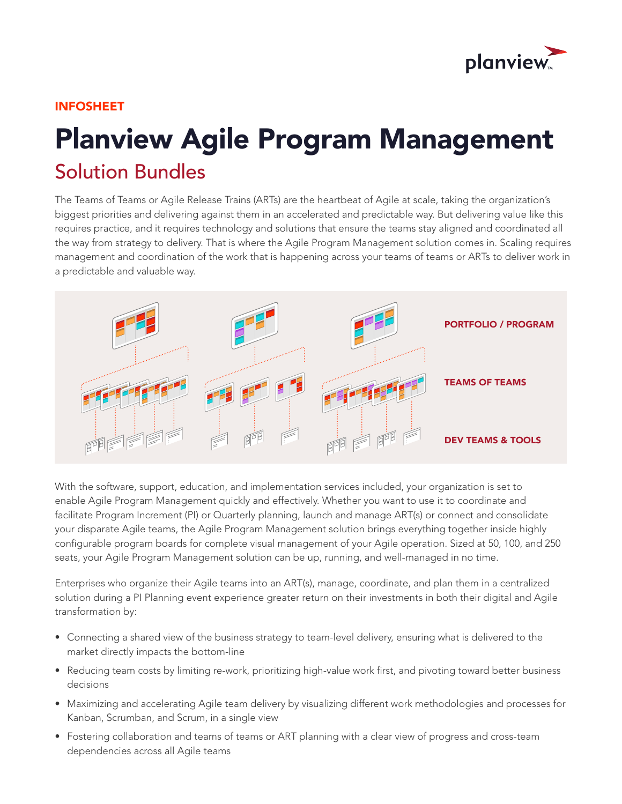

### INFOSHEET

# Planview Agile Program Management Solution Bundles

The Teams of Teams or Agile Release Trains (ARTs) are the heartbeat of Agile at scale, taking the organization's biggest priorities and delivering against them in an accelerated and predictable way. But delivering value like this requires practice, and it requires technology and solutions that ensure the teams stay aligned and coordinated all the way from strategy to delivery. That is where the Agile Program Management solution comes in. Scaling requires management and coordination of the work that is happening across your teams of teams or ARTs to deliver work in a predictable and valuable way.



With the software, support, education, and implementation services included, your organization is set to enable Agile Program Management quickly and effectively. Whether you want to use it to coordinate and facilitate Program Increment (PI) or Quarterly planning, launch and manage ART(s) or connect and consolidate your disparate Agile teams, the Agile Program Management solution brings everything together inside highly configurable program boards for complete visual management of your Agile operation. Sized at 50, 100, and 250 seats, your Agile Program Management solution can be up, running, and well-managed in no time.

Enterprises who organize their Agile teams into an ART(s), manage, coordinate, and plan them in a centralized solution during a PI Planning event experience greater return on their investments in both their digital and Agile transformation by:

- Connecting a shared view of the business strategy to team-level delivery, ensuring what is delivered to the market directly impacts the bottom-line
- Reducing team costs by limiting re-work, prioritizing high-value work first, and pivoting toward better business decisions
- Maximizing and accelerating Agile team delivery by visualizing different work methodologies and processes for Kanban, Scrumban, and Scrum, in a single view
- Fostering collaboration and teams of teams or ART planning with a clear view of progress and cross-team dependencies across all Agile teams